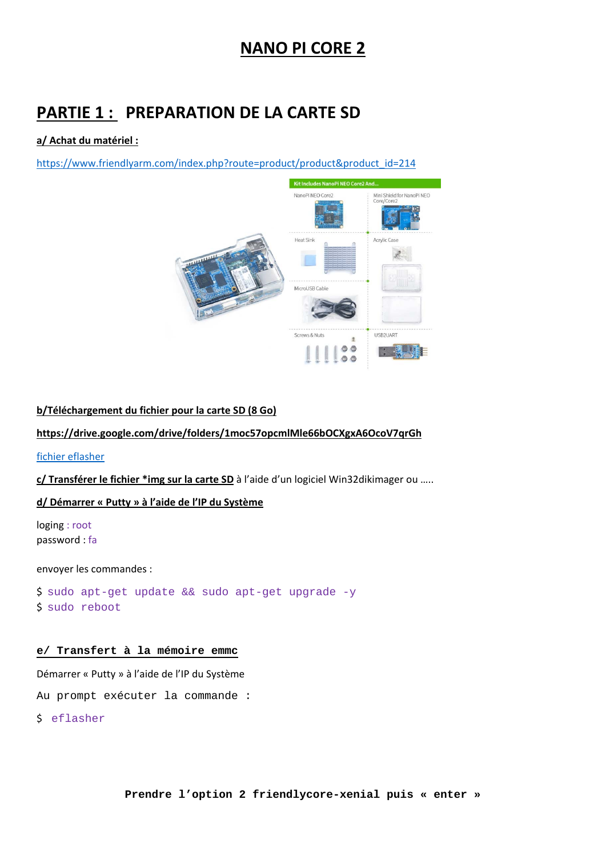## **NANO PI CORE 2**

## **PARTIE 1 : PREPARATION DE LA CARTE SD**

### **a/ Achat du matériel :**

https://www.friendlyarm.com/index.php?route=product/product&product\_id=214



### **b/Téléchargement du fichier pour la carte SD (8 Go)**

### **https://drive.google.com/drive/folders/1moc57opcmlMle66bOCXgxA6OcoV7qrGh**

### fichier eflasher

**c/ Transférer le fichier \*img sur la carte SD** à l'aide d'un logiciel Win32dikimager ou …..

### **d/ Démarrer « Putty » à l'aide de l'IP du Système**

loging : root password : fa

envoyer les commandes :

\$ sudo apt-get update && sudo apt-get upgrade -y \$ sudo reboot

### **e/ Transfert à la mémoire emmc**

Démarrer « Putty » à l'aide de l'IP du Système

Au prompt exécuter la commande :

\$ eflasher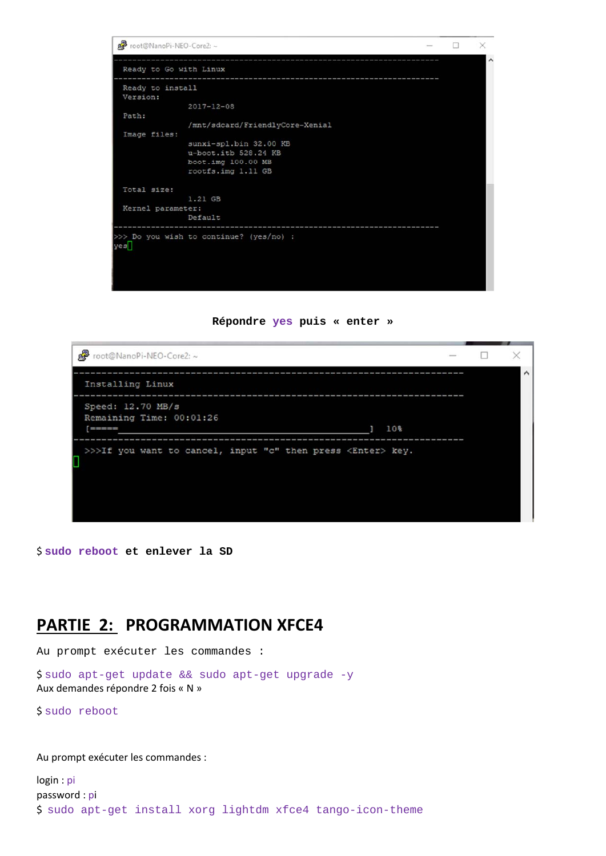





\$ **sudo reboot et enlever la SD** 

### **PARTIE 2: PROGRAMMATION XFCE4**

Au prompt exécuter les commandes :

\$ sudo apt-get update && sudo apt-get upgrade -y Aux demandes répondre 2 fois « N »

\$ sudo reboot

Au prompt exécuter les commandes :

```
login : pi
password : pi 
$  sudo apt-get install xorg lightdm xfce4 tango-icon-theme
```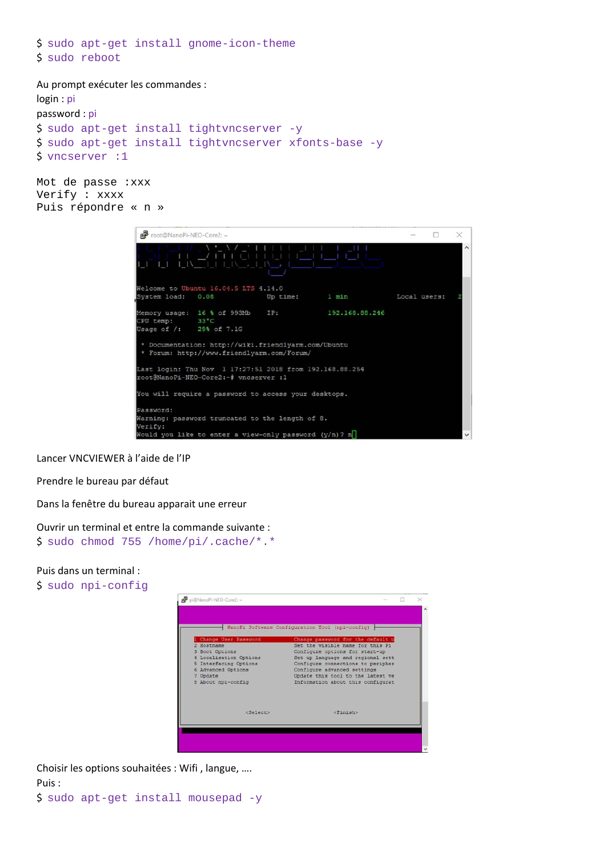```
$  sudo apt-get install gnome-icon-theme 
$  sudo reboot
```

```
Au prompt exécuter les commandes :
```

```
login : pi
password : pi
$  sudo apt-get install tightvncserver -y 
$  sudo apt-get install tightvncserver xfonts-base -y 
$  vncserver :1
```
Mot de passe :xxx Verify : xxxx Puis répondre « n »



Lancer VNCVIEWER à l'aide de l'IP

Prendre le bureau par défaut

Dans la fenêtre du bureau apparait une erreur

Ouvrir un terminal et entre la commande suivante :

\$ sudo chmod 755 /home/pi/.cache/\*.\*

#### Puis dans un terminal :

\$ sudo npi-config



Choisir les options souhaitées : Wifi , langue, …. Puis : \$ sudo apt-get install mousepad -y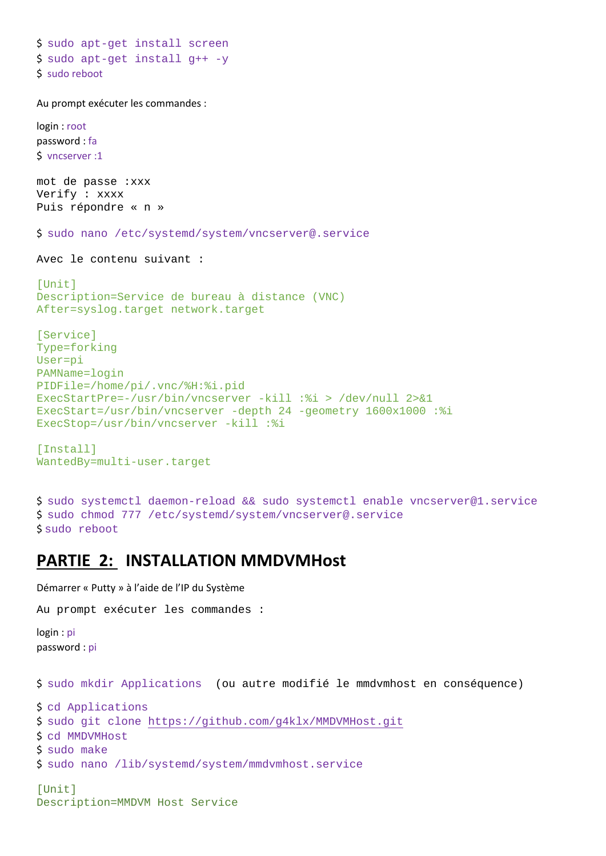```
$  sudo apt-get install screen
$  sudo apt-get install g++ -y 
$  sudo reboot
```
Au prompt exécuter les commandes :

login : root password : fa \$ vncserver :1

mot de passe :xxx Verify : xxxx Puis répondre « n »

\$ sudo nano /etc/systemd/system/vncserver@.service

```
Avec le contenu suivant :
```

```
[Unit]
Description=Service de bureau à distance (VNC) 
After=syslog.target network.target
```

```
[Service] 
Type=forking 
User=pi 
PAMName=login 
PIDFile=/home/pi/.vnc/%H:%i.pid 
ExecStartPre=-/usr/bin/vncserver -kill :%i > /dev/null 2>&1 
ExecStart=/usr/bin/vncserver -depth 24 -geometry 1600x1000 :%i 
ExecStop=/usr/bin/vncserver -kill :%i
```

```
[Install] 
WantedBy=multi-user.target
```
\$ sudo systemctl daemon-reload && sudo systemctl enable vncserver@1.service \$ sudo chmod 777 /etc/systemd/system/vncserver@.service \$ sudo reboot

### **PARTIE 2: INSTALLATION MMDVMHost**

Démarrer « Putty » à l'aide de l'IP du Système

Description=MMDVM Host Service

```
Au prompt exécuter les commandes : 
login : pi
password : pi
$  sudo mkdir Applications (ou autre modifié le mmdvmhost en conséquence)
```

```
$  cd Applications 
$  sudo git clone https://github.com/g4klx/MMDVMHost.git 
$  cd MMDVMHost 
$  sudo make 
$  sudo nano /lib/systemd/system/mmdvmhost.service 
[Unit]
```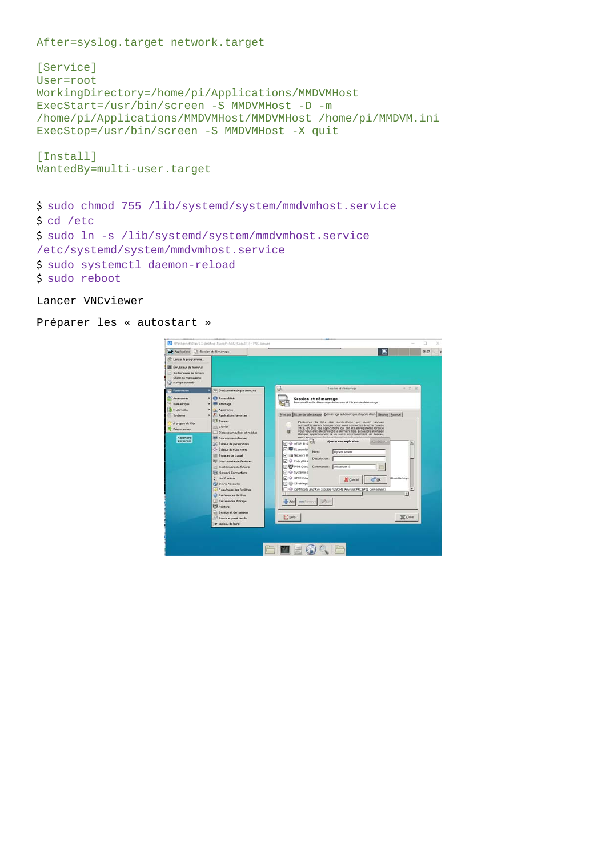After=syslog.target network.target

```
[Service] 
User=root 
WorkingDirectory=/home/pi/Applications/MMDVMHost 
ExecStart=/usr/bin/screen -S MMDVMHost -D -m 
/home/pi/Applications/MMDVMHost/MMDVMHost /home/pi/MMDVM.ini 
ExecStop=/usr/bin/screen -S MMDVMHost -X quit
```
[Install] WantedBy=multi-user.target

```
$  sudo chmod 755 /lib/systemd/system/mmdvmhost.service 
$  cd /etc 
$  sudo ln -s /lib/systemd/system/mmdvmhost.service 
/etc/systemd/system/mmdvmhost.service 
$  sudo systemctl daemon-reload 
$  sudo reboot
```

```
Lancer VNCviewer
```

```
Préparer les « autostart »
```

| Applications all Session et démarrage.<br>C Lancer le programme.                                              | M RPIethernet50 (pi's X desktop (NanoPi-NEO-Core2:1)) - VNC Viewer                                                                                                        | 05:07<br>B                                                                                                                                                                                                                                                                                                                                                 |
|---------------------------------------------------------------------------------------------------------------|---------------------------------------------------------------------------------------------------------------------------------------------------------------------------|------------------------------------------------------------------------------------------------------------------------------------------------------------------------------------------------------------------------------------------------------------------------------------------------------------------------------------------------------------|
| <b>Ell</b> Érrulateur de Terminal<br>- Gestionnaire de fichiers<br>Client de messagerie<br>(1) Navigateur Web |                                                                                                                                                                           |                                                                                                                                                                                                                                                                                                                                                            |
| <b>Parametries</b><br>٠                                                                                       | <sup>131</sup> Gestionnaire de paramètres                                                                                                                                 | * D X<br>딞<br>Session at demarrage                                                                                                                                                                                                                                                                                                                         |
| Accessores<br>٠<br><b>Bureautique</b><br>Multimedia                                                           | <b>C3</b> Accessbité<br><b>Affichage</b><br>Apparence                                                                                                                     | Session et démarrage<br>Personnaliser le démarrage du bureau et l'écran de démarrage                                                                                                                                                                                                                                                                       |
| Système<br>٠<br>À propos de Xfce<br>Déconnexion                                                               | Applications favorities<br><b>El Bureau</b><br>mixi Clavier                                                                                                               | Principal Erran de démarrage Démarrage automatique d'application Session Avancé<br>Ci-dessous la liste des applications qui seront lancées<br>automatiquement lorsque vous vous connectez à votre bureau<br>Xfce, en plus des applications qui ont été enregistrées lorsque<br>yous yous êtes déconnecté la dernière fois. Les applications en<br>$\alpha$ |
| Répertoire<br>personnel                                                                                       | Disques amoubles at medias<br><b>EX Economiseur d'écran</b><br>Editour de paramètres<br>Cr Edteur de type MIME<br>Espaces de traval<br><b>RK</b> Gestionnaire de fanátres | Italique appartiennent à un autre environnement de bureau.<br>mais your necessary training for articles of since in couldn't<br>Alouter une application<br>□ → AT-SPID-B SED<br>□ <sup>图</sup> Economise<br>Nove 1<br>tighvncserver<br><b>Z</b> in Network II<br>Description:<br><b>D</b> @ PolicyKit A                                                    |
|                                                                                                               | Gestionnaire de fichiers<br><b>IF's Network Connections</b><br>٥<br>Notifications<br>Cui Online Accounts<br>Peaufinage des fenêtres                                       | □ → Print Ques<br>Commande: vncserver :1<br>El $\circledcirc$ Système o<br>□ ◆ xrcz voia<br>Itimedia keys<br>4 <sup>3ge</sup><br><b>X</b> Sancel<br><b>Z</b> <i>El Xfsettings</i><br>Or Certificate and Key Storage (GNOME Keyring: PKCS#11 Component)<br>٠                                                                                                |
|                                                                                                               | L. Préférences de libra.<br>Préférences d'Orage<br>Printers                                                                                                               | $\mathbf{r}$<br>mm flamming 197 (un)<br>$M = 0.001$                                                                                                                                                                                                                                                                                                        |
|                                                                                                               | to Session et démarrage<br><sup>14</sup> Souris et pavé tactée<br>w Tableau de bord                                                                                       | <b>II</b> Help<br>X Oole                                                                                                                                                                                                                                                                                                                                   |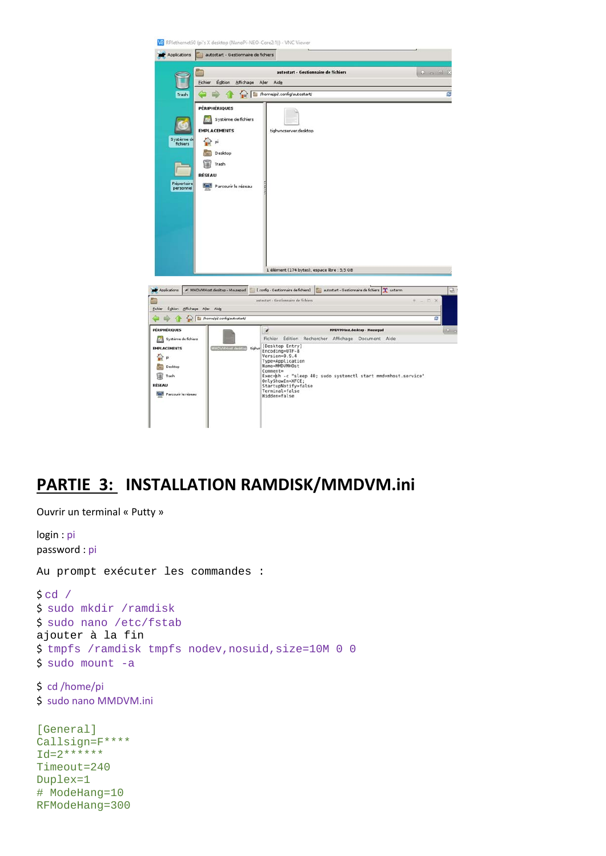

# **PARTIE 3: INSTALLATION RAMDISK/MMDVM.ini**

```
Ouvrir un terminal « Putty » 
login : pi
password : pi
Au prompt exécuter les commandes : 
\text{S} cd /
$  sudo mkdir /ramdisk 
$  sudo nano /etc/fstab 
ajouter à la fin 
$  tmpfs /ramdisk tmpfs nodev,nosuid,size=10M 0 0 
\frac{1}{5} sudo mount -a
$  cd /home/pi 
$  sudo nano MMDVM.ini 
[General] 
Callsign=F**** 
Id = 2*******Timeout=240 
Duplex=1 
# ModeHang=10 
RFModeHang=300
```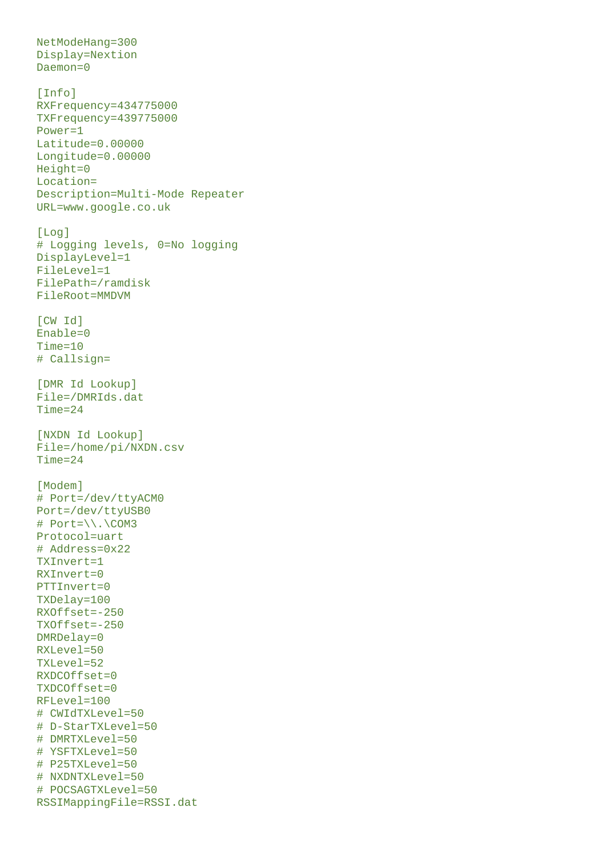```
NetModeHang=300 
Display=Nextion 
Daemon=0 
[Info] 
RXFrequency=434775000 
TXFrequency=439775000 
Power=1 
Latitude=0.00000 
Longitude=0.00000 
Height=0 
Location= 
Description=Multi-Mode Repeater 
URL=www.google.co.uk 
[Log] 
# Logging levels, 0=No logging 
DisplayLevel=1 
FileLevel=1 
FilePath=/ramdisk 
FileRoot=MMDVM 
[CW Id] 
Enable=0 
Time=10 
# Callsign= 
[DMR Id Lookup] 
File=/DMRIds.dat 
Time=24 
[NXDN Id Lookup] 
File=/home/pi/NXDN.csv 
Time=24 
[Modem]
# Port=/dev/ttyACM0 
Port=/dev/ttyUSB0 
# Port=\\.\COM3 
Protocol=uart 
# Address=0x22 
TXInvert=1 
RXInvert=0 
PTTInvert=0 
TXDelay=100 
RXOffset=-250 
TXOffset=-250 
DMRDelay=0 
RXLevel=50 
TXLevel=52 
RXDCOffset=0 
TXDCOffset=0 
RFLevel=100 
# CWIdTXLevel=50 
# D-StarTXLevel=50 
# DMRTXLevel=50 
# YSFTXLevel=50 
# P25TXLevel=50 
# NXDNTXLevel=50 
# POCSAGTXLevel=50 
RSSIMappingFile=RSSI.dat
```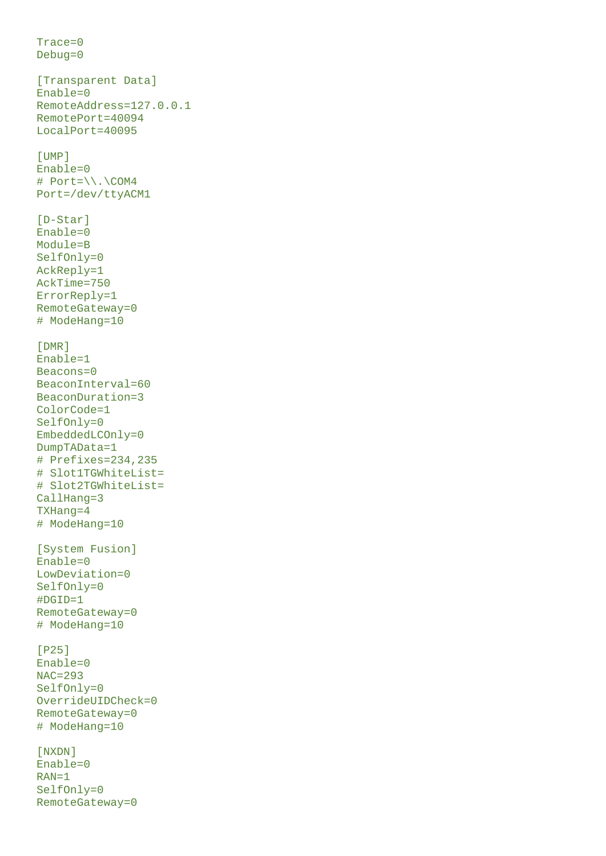```
Trace=0 
Debug=0 
[Transparent Data] 
Enable=0 
RemoteAddress=127.0.0.1 
RemotePort=40094 
LocalPort=40095 
[UMP] 
Enable=0 
# Port=\\.\COM4 
Port=/dev/ttyACM1 
[D-Star]
Enable=0 
Module=B 
SelfOnly=0 
AckReply=1 
AckTime=750 
ErrorReply=1 
RemoteGateway=0 
# ModeHang=10 
[DMR] 
Enable=1 
Beacons=0 
BeaconInterval=60 
BeaconDuration=3 
ColorCode=1 
SelfOnly=0 
EmbeddedLCOnly=0 
DumpTAData=1 
# Prefixes=234,235 
# Slot1TGWhiteList= 
# Slot2TGWhiteList= 
CallHang=3 
TXHang=4 
# ModeHang=10 
[System Fusion] 
Enable=0 
LowDeviation=0 
SelfOnly=0 
#DGID=1 
RemoteGateway=0 
# ModeHang=10 
[P25] 
Enable=0 
NAC=293 
SelfOnly=0 
OverrideUIDCheck=0 
RemoteGateway=0 
# ModeHang=10 
[NXDN] 
Enable=0 
RAN=1 
SelfOnly=0
```
RemoteGateway=0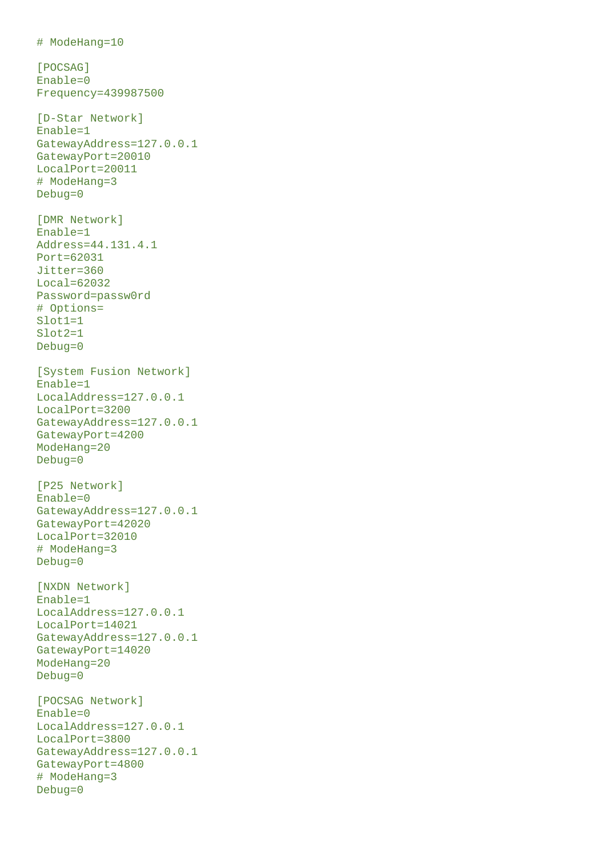```
# ModeHang=10 
[POCSAG]
Enable=0 
Frequency=439987500 
[D-Star Network] 
Enable=1 
GatewayAddress=127.0.0.1 
GatewayPort=20010 
LocalPort=20011 
# ModeHang=3 
Debug=0 
[DMR Network] 
Enable=1 
Address=44.131.4.1 
Port=62031 
Jitter=360 
Local=62032 
Password=passw0rd 
# Options= 
Slot1=1 
Slot2=1 
Debug=0 
[System Fusion Network] 
Enable=1 
LocalAddress=127.0.0.1 
LocalPort=3200 
GatewayAddress=127.0.0.1 
GatewayPort=4200 
ModeHang=20 
Debug=0 
[P25 Network] 
Enable=0 
GatewayAddress=127.0.0.1 
GatewayPort=42020 
LocalPort=32010 
# ModeHang=3 
Debug=0 
[NXDN Network] 
Enable=1 
LocalAddress=127.0.0.1 
LocalPort=14021 
GatewayAddress=127.0.0.1 
GatewayPort=14020 
ModeHang=20 
Debug=0 
[POCSAG Network] 
Enable=0 
LocalAddress=127.0.0.1 
LocalPort=3800 
GatewayAddress=127.0.0.1 
GatewayPort=4800 
# ModeHang=3 
Debug=0
```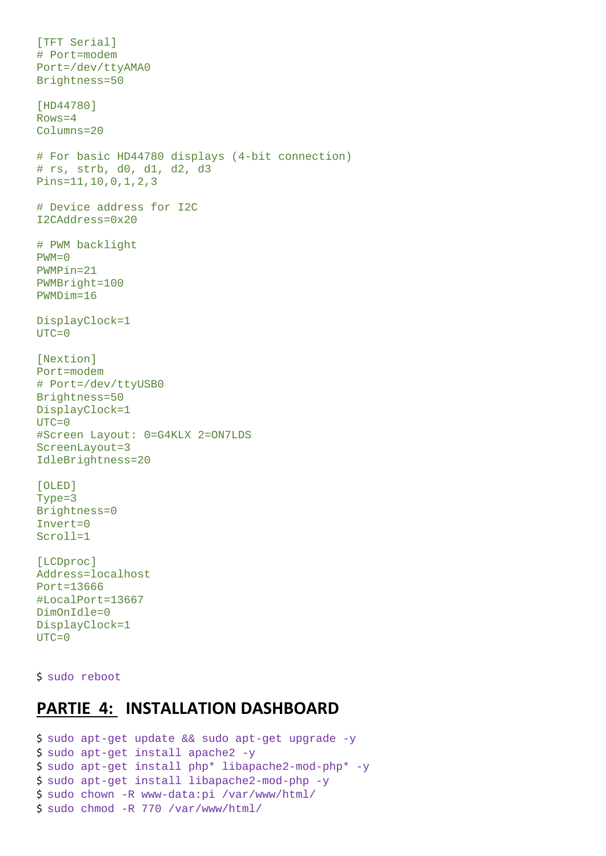```
[TFT Serial] 
# Port=modem 
Port=/dev/ttyAMA0 
Brightness=50 
[HD44780] 
Rows=4 
Columns=20 
# For basic HD44780 displays (4-bit connection) 
# rs, strb, d0, d1, d2, d3 
Pins=11,10,0,1,2,3 
# Device address for I2C 
I2CAddress=0x20 
# PWM backlight 
PWM=0PWMPin=21 
PWMBright=100 
PWMDim=16 
DisplayClock=1 
UTC=0[Nextion] 
Port=modem 
# Port=/dev/ttyUSB0 
Brightness=50 
DisplayClock=1 
UTC=0#Screen Layout: 0=G4KLX 2=ON7LDS 
ScreenLayout=3 
IdleBrightness=20 
[OLED] 
Type=3 
Brightness=0 
Invert=0 
Scroll=1 
[LCDproc] 
Address=localhost 
Port=13666 
#LocalPort=13667 
DimOnIdle=0 
DisplayClock=1 
UTC=0
```
\$ sudo reboot

## **PARTIE 4: INSTALLATION DASHBOARD**

```
$  sudo apt-get update && sudo apt-get upgrade -y 
$  sudo apt-get install apache2 -y 
$  sudo apt-get install php* libapache2-mod-php* -y 
$  sudo apt-get install libapache2-mod-php -y 
$  sudo chown -R www-data:pi /var/www/html/ 
$  sudo chmod -R 770 /var/www/html/
```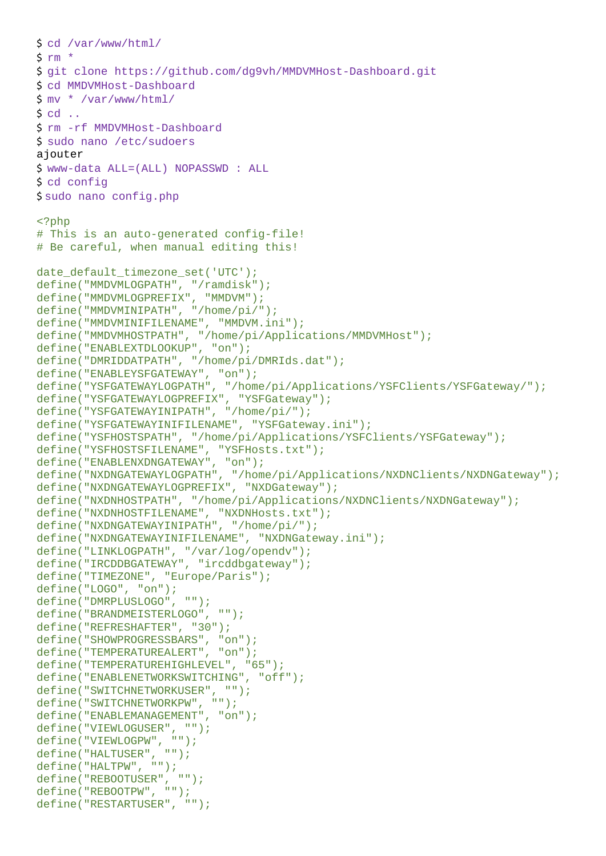```
$  cd /var/www/html/ 
5 rm *$  git clone https://github.com/dg9vh/MMDVMHost-Dashboard.git 
$  cd MMDVMHost-Dashboard 
\frac{\sin x}{x} /var/www/html/
$ cd. . .$  rm -rf MMDVMHost-Dashboard 
$  sudo nano /etc/sudoers 
ajouter 
$  www-data ALL=(ALL) NOPASSWD : ALL 
$  cd config 
$ sudo nano config.php 
<?php 
# This is an auto-generated config-file! 
# Be careful, when manual editing this! 
date_default_timezone_set('UTC'); 
define("MMDVMLOGPATH", "/ramdisk"); 
define("MMDVMLOGPREFIX", "MMDVM"); 
define("MMDVMINIPATH", "/home/pi/"); 
define("MMDVMINIFILENAME", "MMDVM.ini"); 
define("MMDVMHOSTPATH", "/home/pi/Applications/MMDVMHost"); 
define("ENABLEXTDLOOKUP", "on"); 
define("DMRIDDATPATH", "/home/pi/DMRIds.dat"); 
define("ENABLEYSFGATEWAY", "on"); 
define("YSFGATEWAYLOGPATH", "/home/pi/Applications/YSFClients/YSFGateway/"); 
define("YSFGATEWAYLOGPREFIX", "YSFGateway"); 
define("YSFGATEWAYINIPATH", "/home/pi/"); 
define("YSFGATEWAYINIFILENAME", "YSFGateway.ini"); 
define("YSFHOSTSPATH", "/home/pi/Applications/YSFClients/YSFGateway"); 
define("YSFHOSTSFILENAME", "YSFHosts.txt"); 
define("ENABLENXDNGATEWAY", "on"); 
define("NXDNGATEWAYLOGPATH", "/home/pi/Applications/NXDNClients/NXDNGateway"); 
define("NXDNGATEWAYLOGPREFIX", "NXDGateway"); 
define("NXDNHOSTPATH", "/home/pi/Applications/NXDNClients/NXDNGateway"); 
define("NXDNHOSTFILENAME", "NXDNHosts.txt"); 
define("NXDNGATEWAYINIPATH", "/home/pi/"); 
define("NXDNGATEWAYINIFILENAME", "NXDNGateway.ini"); 
define("LINKLOGPATH", "/var/log/opendv"); 
define("IRCDDBGATEWAY", "ircddbgateway"); 
define("TIMEZONE", "Europe/Paris"); 
define("LOGO", "on"); 
define("DMRPLUSLOGO", ""); 
define("BRANDMEISTERLOGO", ""); 
define("REFRESHAFTER", "30"); 
define("SHOWPROGRESSBARS", "on"); 
define("TEMPERATUREALERT", "on"); 
define("TEMPERATUREHIGHLEVEL", "65"); 
define("ENABLENETWORKSWITCHING", "off"); 
define("SWITCHNETWORKUSER", ""); 
define("SWITCHNETWORKPW", ""); 
define("ENABLEMANAGEMENT", "on"); 
define("VIEWLOGUSER", ""); 
define("VIEWLOGPW", ""); 
define("HALTUSER", ""); 
define("HALTPW", ""); 
define("REBOOTUSER", ""); 
define("REBOOTPW", ""); 
define("RESTARTUSER", "");
```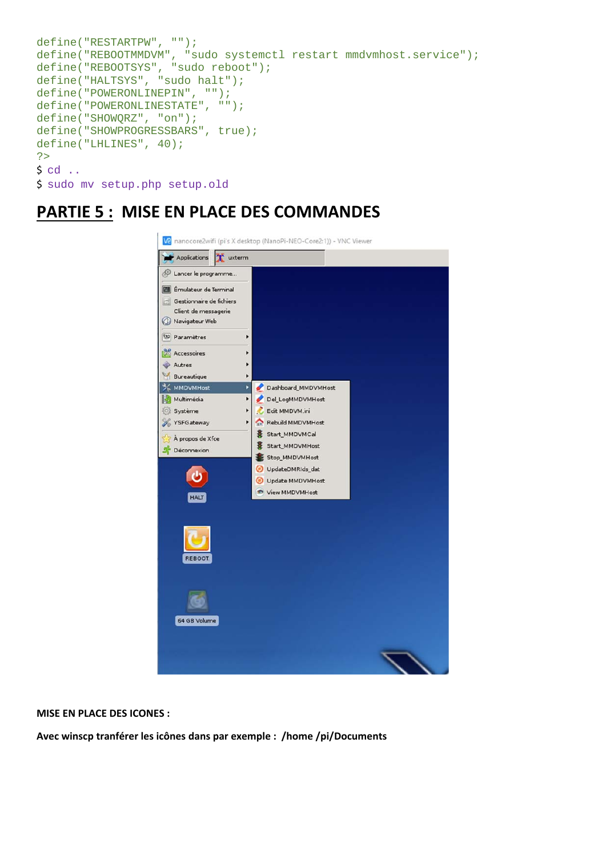```
define("RESTARTPW", ""); 
define("REBOOTMMDVM", "sudo systemctl restart mmdvmhost.service"); 
define("REBOOTSYS", "sudo reboot"); 
define("HALTSYS", "sudo halt"); 
define("POWERONLINEPIN", ""); 
define("POWERONLINESTATE", ""); 
define("SHOWQRZ", "on"); 
define("SHOWPROGRESSBARS", true); 
define("LHLINES", 40); 
?> 
$ cd. . .$  sudo mv setup.php setup.old
```
## **PARTIE 5 : MISE EN PLACE DES COMMANDES**



**MISE EN PLACE DES ICONES :** 

**Avec winscp tranférer les icônes dans par exemple : /home /pi/Documents**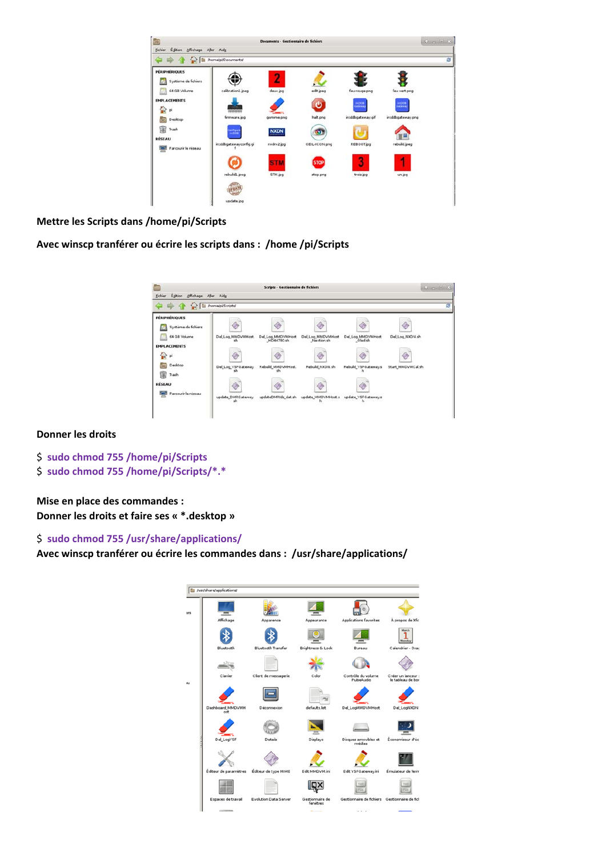| Fichier Egition Affichage Aller Aide                                                                                                                                                                                                 |                             |             |               |                   |                   |   |
|--------------------------------------------------------------------------------------------------------------------------------------------------------------------------------------------------------------------------------------|-----------------------------|-------------|---------------|-------------------|-------------------|---|
| <b>Contract of the Contract of Contract of Contract of Contract of Contract of Contract of Contract of Contract of Contract of Contract of Contract of Contract of Contract of Contract of Contract of Contract of Contract of C</b> |                             |             |               |                   |                   | ø |
| PÉRIPHÉRIQUES                                                                                                                                                                                                                        |                             |             |               |                   |                   |   |
| Système de fichiers                                                                                                                                                                                                                  |                             |             |               |                   |                   |   |
| 64 GB Volume                                                                                                                                                                                                                         | calibration1.jpeg           | deux.jpg    | edit jpeg     | feu rouge png     | feu vert.png      |   |
| <b>EMPLACEMENTS</b>                                                                                                                                                                                                                  |                             |             |               | wcDO6             | <b>HOOK</b>       |   |
| Di                                                                                                                                                                                                                                   | 000000000                   |             | ඏ             | Gateway           | Gateway           |   |
| Desktop                                                                                                                                                                                                                              | firmware.jpg                | gomme.png   | halt.png      | ircddogateway.gif | ircddbgateway.png |   |
| œ<br>Trash                                                                                                                                                                                                                           | <b>Cantigure</b><br>Include | <b>NXDN</b> | o)            |                   |                   |   |
| <b>RÉSEAU</b>                                                                                                                                                                                                                        |                             |             |               |                   |                   |   |
| <b>THE Parcourir le réseau</b>                                                                                                                                                                                                       | ircddbgatewayconfig.gi      | nxdn-2 jpg  | OEIL-ICON.png | <b>REBOOT</b> jpg | rebuild joeg      |   |
|                                                                                                                                                                                                                                      |                             | <b>STM</b>  | <b>STOP</b>   | 3                 |                   |   |
|                                                                                                                                                                                                                                      | rebuild) peg                | STM.jpg     | stop png      | trois.jpg         | un.jpg            |   |
|                                                                                                                                                                                                                                      |                             |             |               |                   |                   |   |
|                                                                                                                                                                                                                                      |                             |             |               |                   |                   |   |
|                                                                                                                                                                                                                                      | update.jpg                  |             |               |                   |                   |   |

### **Mettre les Scripts dans /home/pi/Scripts**

**Avec winscp tranférer ou écrire les scripts dans : /home /pi/Scripts** 



### **Donner les droits**

- \$ **sudo chmod 755 /home/pi/Scripts**
- \$ **sudo chmod 755 /home/pi/Scripts/\*.\***

**Mise en place des commandes : Donner les droits et faire ses « \*.desktop »** 

### \$ **sudo chmod 755 /usr/share/applications/**

**Avec winscp tranférer ou écrire les commandes dans : /usr/share/applications/** 

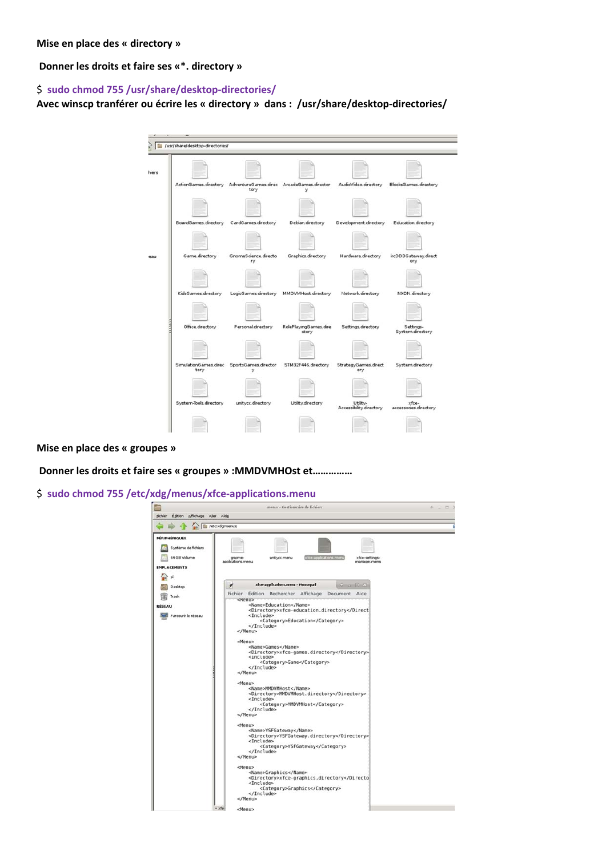**Mise en place des « directory »** 

 **Donner les droits et faire ses «\*. directory »** 

### \$ **sudo chmod 755 /usr/share/desktop‐directories/**

**Avec winscp tranférer ou écrire les « directory » dans : /usr/share/desktop‐directories/** 



**Mise en place des « groupes »** 

 **Donner les droits et faire ses « groupes » :MMDVMHOst et……………** 

\$ **sudo chmod 755 /etc/xdg/menus/xfce‐applications.menu** 

| Edition Affichage Aller Aide<br>Fichier | menus - Gestionnaire de fichiers                                                 | $\Box$<br>$+ -$ |  |  |  |  |  |  |  |
|-----------------------------------------|----------------------------------------------------------------------------------|-----------------|--|--|--|--|--|--|--|
|                                         |                                                                                  |                 |  |  |  |  |  |  |  |
|                                         | [ /etc/xdg/menus/                                                                |                 |  |  |  |  |  |  |  |
| PÉRIPHÉRIQUES                           |                                                                                  |                 |  |  |  |  |  |  |  |
| Système de fichiers                     |                                                                                  |                 |  |  |  |  |  |  |  |
| 64 GB Volume                            | »fce-applications.menu<br>xfce-settings-<br>unitycc.menu<br>gnome-               |                 |  |  |  |  |  |  |  |
|                                         | applications.menu<br>manager.menu                                                |                 |  |  |  |  |  |  |  |
| <b>EMPLACEMENTS</b>                     |                                                                                  |                 |  |  |  |  |  |  |  |
|                                         |                                                                                  |                 |  |  |  |  |  |  |  |
| Desktop                                 | xfce-applications.menu - Mousepad<br>0 = 0 X<br>$\mathcal{A}$                    |                 |  |  |  |  |  |  |  |
| Trash                                   | <b>Fichier</b><br>Edition Rechercher Affichage<br>Document Aide                  |                 |  |  |  |  |  |  |  |
| <b>RÉSEAU</b>                           | смели><br><name>Education</name>                                                 |                 |  |  |  |  |  |  |  |
|                                         | <directory>xfce-education.directory<td></td></directory>                         |                 |  |  |  |  |  |  |  |
| <b>IMI</b> Parcourir le réseau          | <include><br/><category>Education</category></include>                           |                 |  |  |  |  |  |  |  |
|                                         |                                                                                  |                 |  |  |  |  |  |  |  |
|                                         | $<$ /Menu>                                                                       |                 |  |  |  |  |  |  |  |
|                                         | <menu></menu>                                                                    |                 |  |  |  |  |  |  |  |
|                                         | <name>Games</name><br><directory>xfce-games.directory</directory>                |                 |  |  |  |  |  |  |  |
|                                         | <include></include>                                                              |                 |  |  |  |  |  |  |  |
|                                         | <category>Game</category><br>                                                    |                 |  |  |  |  |  |  |  |
|                                         | $\lt/Menu$                                                                       |                 |  |  |  |  |  |  |  |
|                                         | <menu></menu>                                                                    |                 |  |  |  |  |  |  |  |
|                                         | <name>MMDVMHost</name>                                                           |                 |  |  |  |  |  |  |  |
|                                         | <directory>MMDVMHost.directory</directory><br><include></include>                |                 |  |  |  |  |  |  |  |
|                                         | <category>MMDVMHost</category><br>                                               |                 |  |  |  |  |  |  |  |
|                                         | $<$ /Menu>                                                                       |                 |  |  |  |  |  |  |  |
|                                         | <menu></menu>                                                                    |                 |  |  |  |  |  |  |  |
|                                         | <name>YSFGateway</name>                                                          |                 |  |  |  |  |  |  |  |
|                                         | <directory>YSFGateway.directory</directory><br><include></include>               |                 |  |  |  |  |  |  |  |
|                                         | <category>YSFGateway</category>                                                  |                 |  |  |  |  |  |  |  |
|                                         | <br>                                                                             |                 |  |  |  |  |  |  |  |
|                                         |                                                                                  |                 |  |  |  |  |  |  |  |
|                                         | <menu></menu>                                                                    |                 |  |  |  |  |  |  |  |
|                                         | <name>Graphics</name><br><directory>xfce-graphics.directory<td></td></directory> |                 |  |  |  |  |  |  |  |
|                                         | <include><br/><category>Graphics</category></include>                            |                 |  |  |  |  |  |  |  |
|                                         |                                                                                  |                 |  |  |  |  |  |  |  |
|                                         |                                                                                  |                 |  |  |  |  |  |  |  |
|                                         | $*$ xtc<br><menu></menu>                                                         |                 |  |  |  |  |  |  |  |